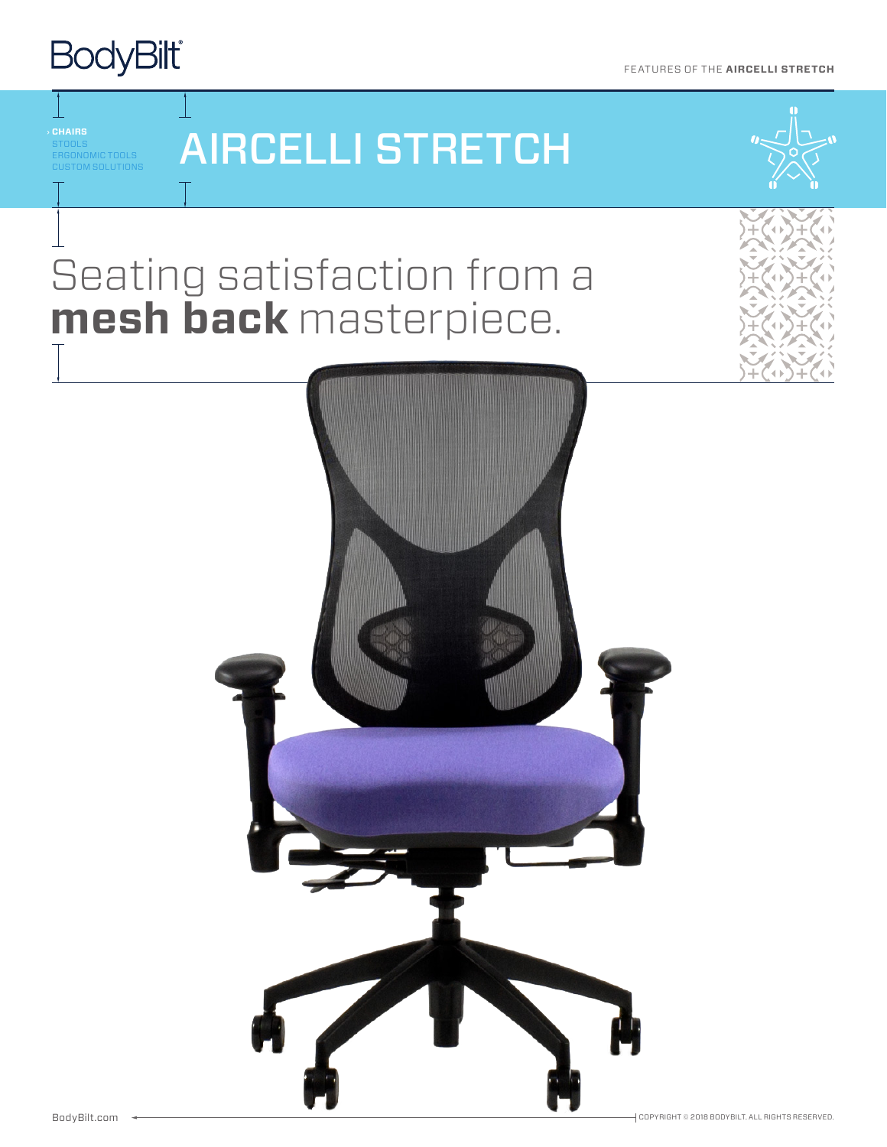### **BodyBilt®**

FEATURES OF THE **AIRCELLI STRETCH**

ERGONOMIC TOOLS CUSTOM SOLUTIONS

# AIRCELLI STRETCH



## Seating satisfaction from a **mesh back** masterpiece.